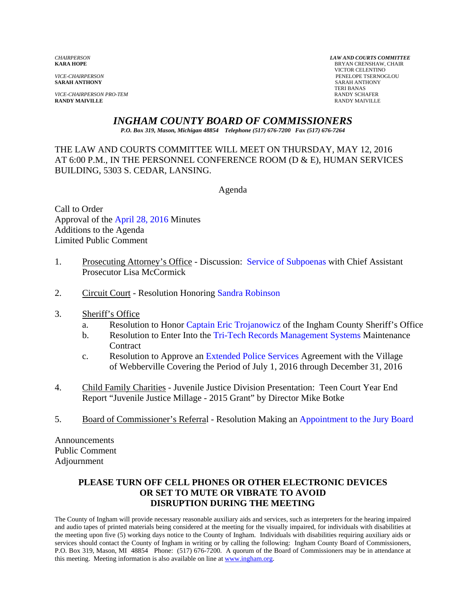**VICE-CHAIRPERSON PRO-TEM RANDY SCHAFER RANDY SCHAFER RANDY SCHAFER RANDY SCHAFER RANDY MAIVILLE RANDY MAIVILLE** RANDY MAIVILLE

*CHAIRPERSON LAW AND COURTS COMMITTEE* **BRYAN CRENSHAW, CHAIR**  VICTOR CELENTINO *VICE-CHAIRPERSON* PENELOPE TSERNOGLOU **SARAH ANTHONY** TERI BANAS

# *INGHAM COUNTY BOARD OF COMMISSIONERS*

*P.O. Box 319, Mason, Michigan 48854 Telephone (517) 676-7200 Fax (517) 676-7264*

THE LAW AND COURTS COMMITTEE WILL MEET ON THURSDAY, MAY 12, 2016 AT 6:00 P.M., IN THE PERSONNEL CONFERENCE ROOM (D & E), HUMAN SERVICES BUILDING, 5303 S. CEDAR, LANSING.

Agenda

Call to Order Approval [of the April 28, 2016 Minutes](#page-1-0)  Additions to the Agenda Limited Public Comment

- 1. Prosecuting Attorney's Office Discussi[on: Service of Subpoenas with Chief](#page-7-0) Assistant Prosecutor Lisa McCormick
- 2. Circuit Court Resolution Hono[ring Sandra Robinson](#page-12-0)
- 3. Sheriff's Office
	- a. Resolution to Hon[or Captain Eric Trojanowicz of the](#page-14-0) Ingham County Sheriff's Office
	- b. Resolution to Enter Into the Tri-Tech [Records Management Systems Maintena](#page-16-0)nce **Contract**
	- c. Resolution to Approve an Extended Police Services Agreement with the Village of Webberville Coverin[g the Period of July 1, 2016 through Dec](#page-18-0)ember 31, 2016
- 4. Child Family Charities Juvenile Justice Division Presentation: Teen Court Year End Report "Juvenile Justice Millage - 2015 Grant" by Director Mike Botke
- 5. Board of Commissioner's Referral Resolution Making [an Appointment to the Jury Board](#page-20-0)

Announcements Public Comment Adjournment

# **PLEASE TURN OFF CELL PHONES OR OTHER ELECTRONIC DEVICES OR SET TO MUTE OR VIBRATE TO AVOID DISRUPTION DURING THE MEETING**

The County of Ingham will provide necessary reasonable auxiliary aids and services, such as interpreters for the hearing impaired and audio tapes of printed materials being considered at the meeting for the visually impaired, for individuals with disabilities at the meeting upon five (5) working days notice to the County of Ingham. Individuals with disabilities requiring auxiliary aids or services should contact the County of Ingham in writing or by calling the following: Ingham County Board of Commissioners, P.O. Box 319, Mason, MI 48854 Phone: (517) 676-7200. A quorum of the Board of Commissioners may be in attendance at this meeting. Meeting information is also available on line at www.ingham.org.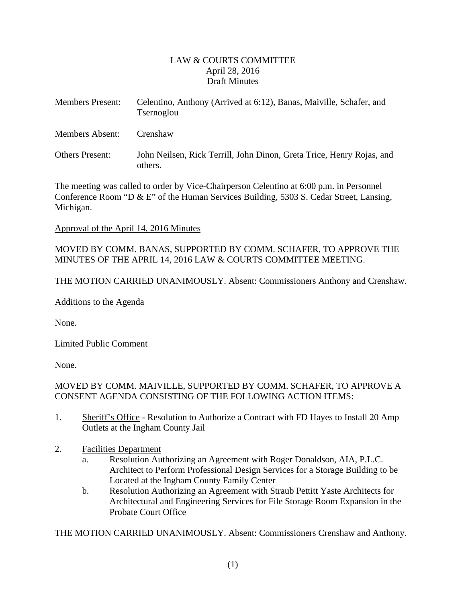### LAW & COURTS COMMITTEE April 28, 2016 Draft Minutes

<span id="page-1-0"></span>

| <b>Members Present:</b> | Celentino, Anthony (Arrived at 6:12), Banas, Maiville, Schafer, and<br>Tsernoglou |
|-------------------------|-----------------------------------------------------------------------------------|
| Members Absent:         | Crenshaw                                                                          |
| <b>Others Present:</b>  | John Neilsen, Rick Terrill, John Dinon, Greta Trice, Henry Rojas, and<br>others.  |

The meeting was called to order by Vice-Chairperson Celentino at 6:00 p.m. in Personnel Conference Room "D & E" of the Human Services Building, 5303 S. Cedar Street, Lansing, Michigan.

#### Approval of the April 14, 2016 Minutes

MOVED BY COMM. BANAS, SUPPORTED BY COMM. SCHAFER, TO APPROVE THE MINUTES OF THE APRIL 14, 2016 LAW & COURTS COMMITTEE MEETING.

THE MOTION CARRIED UNANIMOUSLY. Absent: Commissioners Anthony and Crenshaw.

Additions to the Agenda

None.

Limited Public Comment

None.

# MOVED BY COMM. MAIVILLE, SUPPORTED BY COMM. SCHAFER, TO APPROVE A CONSENT AGENDA CONSISTING OF THE FOLLOWING ACTION ITEMS:

- 1. Sheriff's Office Resolution to Authorize a Contract with FD Hayes to Install 20 Amp Outlets at the Ingham County Jail
- 2. Facilities Department
	- a. Resolution Authorizing an Agreement with Roger Donaldson, AIA, P.L.C. Architect to Perform Professional Design Services for a Storage Building to be Located at the Ingham County Family Center
	- b. Resolution Authorizing an Agreement with Straub Pettitt Yaste Architects for Architectural and Engineering Services for File Storage Room Expansion in the Probate Court Office

THE MOTION CARRIED UNANIMOUSLY. Absent: Commissioners Crenshaw and Anthony.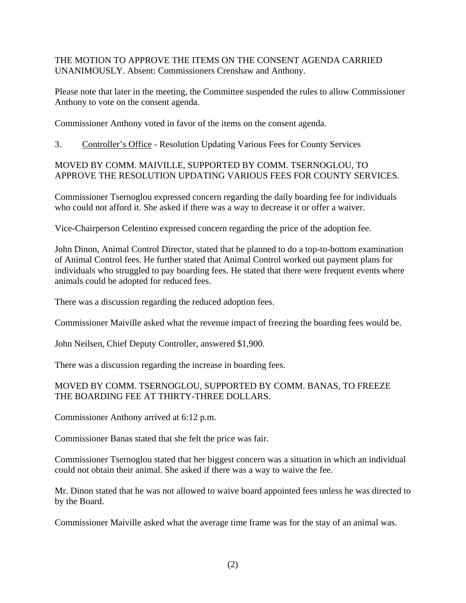THE MOTION TO APPROVE THE ITEMS ON THE CONSENT AGENDA CARRIED UNANIMOUSLY. Absent: Commissioners Crenshaw and Anthony.

Please note that later in the meeting, the Committee suspended the rules to allow Commissioner Anthony to vote on the consent agenda.

Commissioner Anthony voted in favor of the items on the consent agenda.

3. Controller's Office - Resolution Updating Various Fees for County Services

#### MOVED BY COMM. MAIVILLE, SUPPORTED BY COMM. TSERNOGLOU, TO APPROVE THE RESOLUTION UPDATING VARIOUS FEES FOR COUNTY SERVICES.

Commissioner Tsernoglou expressed concern regarding the daily boarding fee for individuals who could not afford it. She asked if there was a way to decrease it or offer a waiver.

Vice-Chairperson Celentino expressed concern regarding the price of the adoption fee.

John Dinon, Animal Control Director, stated that he planned to do a top-to-bottom examination of Animal Control fees. He further stated that Animal Control worked out payment plans for individuals who struggled to pay boarding fees. He stated that there were frequent events where animals could be adopted for reduced fees.

There was a discussion regarding the reduced adoption fees.

Commissioner Maiville asked what the revenue impact of freezing the boarding fees would be.

John Neilsen, Chief Deputy Controller, answered \$1,900.

There was a discussion regarding the increase in boarding fees.

# MOVED BY COMM. TSERNOGLOU, SUPPORTED BY COMM. BANAS, TO FREEZE THE BOARDING FEE AT THIRTY-THREE DOLLARS.

Commissioner Anthony arrived at 6:12 p.m.

Commissioner Banas stated that she felt the price was fair.

Commissioner Tsernoglou stated that her biggest concern was a situation in which an individual could not obtain their animal. She asked if there was a way to waive the fee.

Mr. Dinon stated that he was not allowed to waive board appointed fees unless he was directed to by the Board.

Commissioner Maiville asked what the average time frame was for the stay of an animal was.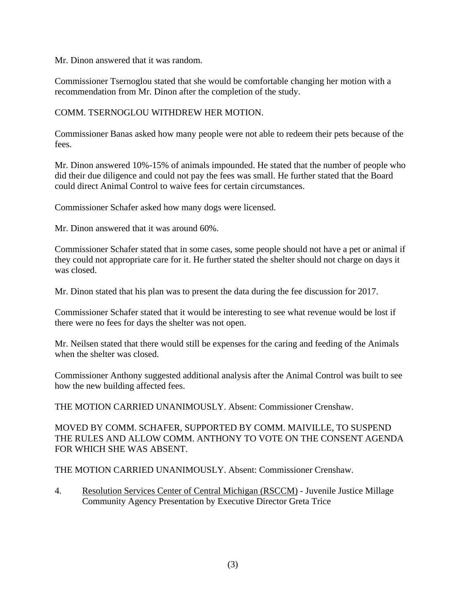Mr. Dinon answered that it was random.

Commissioner Tsernoglou stated that she would be comfortable changing her motion with a recommendation from Mr. Dinon after the completion of the study.

# COMM. TSERNOGLOU WITHDREW HER MOTION.

Commissioner Banas asked how many people were not able to redeem their pets because of the fees.

Mr. Dinon answered 10%-15% of animals impounded. He stated that the number of people who did their due diligence and could not pay the fees was small. He further stated that the Board could direct Animal Control to waive fees for certain circumstances.

Commissioner Schafer asked how many dogs were licensed.

Mr. Dinon answered that it was around 60%.

Commissioner Schafer stated that in some cases, some people should not have a pet or animal if they could not appropriate care for it. He further stated the shelter should not charge on days it was closed.

Mr. Dinon stated that his plan was to present the data during the fee discussion for 2017.

Commissioner Schafer stated that it would be interesting to see what revenue would be lost if there were no fees for days the shelter was not open.

Mr. Neilsen stated that there would still be expenses for the caring and feeding of the Animals when the shelter was closed.

Commissioner Anthony suggested additional analysis after the Animal Control was built to see how the new building affected fees.

THE MOTION CARRIED UNANIMOUSLY. Absent: Commissioner Crenshaw.

MOVED BY COMM. SCHAFER, SUPPORTED BY COMM. MAIVILLE, TO SUSPEND THE RULES AND ALLOW COMM. ANTHONY TO VOTE ON THE CONSENT AGENDA FOR WHICH SHE WAS ABSENT.

THE MOTION CARRIED UNANIMOUSLY. Absent: Commissioner Crenshaw.

4. Resolution Services Center of Central Michigan (RSCCM) - Juvenile Justice Millage Community Agency Presentation by Executive Director Greta Trice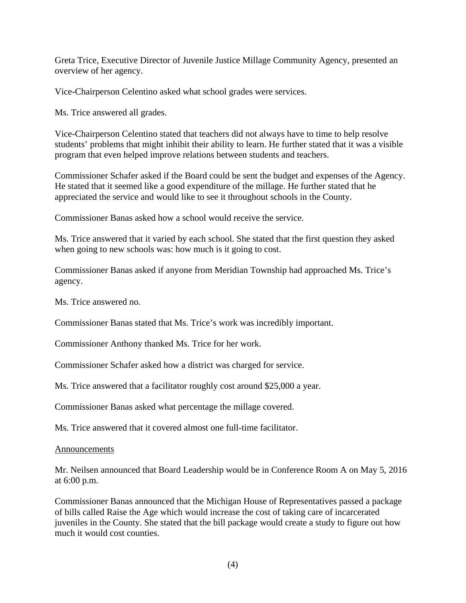Greta Trice, Executive Director of Juvenile Justice Millage Community Agency, presented an overview of her agency.

Vice-Chairperson Celentino asked what school grades were services.

Ms. Trice answered all grades.

Vice-Chairperson Celentino stated that teachers did not always have to time to help resolve students' problems that might inhibit their ability to learn. He further stated that it was a visible program that even helped improve relations between students and teachers.

Commissioner Schafer asked if the Board could be sent the budget and expenses of the Agency. He stated that it seemed like a good expenditure of the millage. He further stated that he appreciated the service and would like to see it throughout schools in the County.

Commissioner Banas asked how a school would receive the service.

Ms. Trice answered that it varied by each school. She stated that the first question they asked when going to new schools was: how much is it going to cost.

Commissioner Banas asked if anyone from Meridian Township had approached Ms. Trice's agency.

Ms. Trice answered no.

Commissioner Banas stated that Ms. Trice's work was incredibly important.

Commissioner Anthony thanked Ms. Trice for her work.

Commissioner Schafer asked how a district was charged for service.

Ms. Trice answered that a facilitator roughly cost around \$25,000 a year.

Commissioner Banas asked what percentage the millage covered.

Ms. Trice answered that it covered almost one full-time facilitator.

#### Announcements

Mr. Neilsen announced that Board Leadership would be in Conference Room A on May 5, 2016 at 6:00 p.m.

Commissioner Banas announced that the Michigan House of Representatives passed a package of bills called Raise the Age which would increase the cost of taking care of incarcerated juveniles in the County. She stated that the bill package would create a study to figure out how much it would cost counties.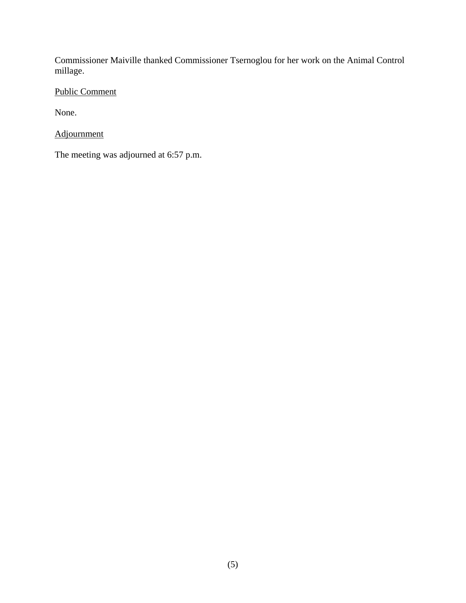Commissioner Maiville thanked Commissioner Tsernoglou for her work on the Animal Control millage.

Public Comment

None.

Adjournment

The meeting was adjourned at 6:57 p.m.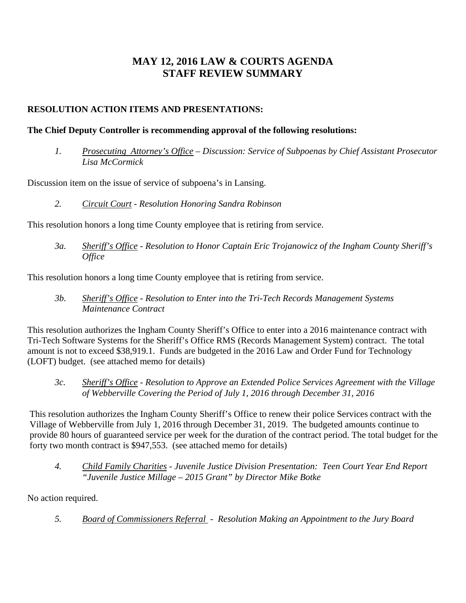# **MAY 12, 2016 LAW & COURTS AGENDA STAFF REVIEW SUMMARY**

# **RESOLUTION ACTION ITEMS AND PRESENTATIONS:**

### **The Chief Deputy Controller is recommending approval of the following resolutions:**

*1. Prosecuting Attorney's Office – Discussion: Service of Subpoenas by Chief Assistant Prosecutor Lisa McCormick* 

Discussion item on the issue of service of subpoena's in Lansing.

*2. Circuit Court - Resolution Honoring Sandra Robinson* 

This resolution honors a long time County employee that is retiring from service.

*3a. Sheriff's Office - Resolution to Honor Captain Eric Trojanowicz of the Ingham County Sheriff's Office* 

This resolution honors a long time County employee that is retiring from service.

*3b. Sheriff's Office - Resolution to Enter into the Tri-Tech Records Management Systems Maintenance Contract* 

This resolution authorizes the Ingham County Sheriff's Office to enter into a 2016 maintenance contract with Tri-Tech Software Systems for the Sheriff's Office RMS (Records Management System) contract. The total amount is not to exceed \$38,919.1. Funds are budgeted in the 2016 Law and Order Fund for Technology (LOFT) budget. (see attached memo for details)

*3c. Sheriff's Office - Resolution to Approve an Extended Police Services Agreement with the Village of Webberville Covering the Period of July 1, 2016 through December 31, 2016* 

This resolution authorizes the Ingham County Sheriff's Office to renew their police Services contract with the Village of Webberville from July 1, 2016 through December 31, 2019. The budgeted amounts continue to provide 80 hours of guaranteed service per week for the duration of the contract period. The total budget for the forty two month contract is \$947,553. (see attached memo for details)

*4. Child Family Charities - Juvenile Justice Division Presentation: Teen Court Year End Report "Juvenile Justice Millage – 2015 Grant" by Director Mike Botke* 

No action required.

*5. Board of Commissioners Referral - Resolution Making an Appointment to the Jury Board*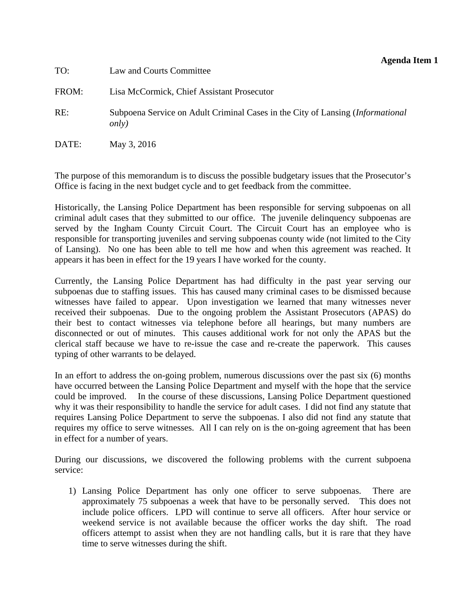<span id="page-7-0"></span>

| TO:   | Law and Courts Committee                                                                        |
|-------|-------------------------------------------------------------------------------------------------|
| FROM: | Lisa McCormick, Chief Assistant Prosecutor                                                      |
| RE:   | Subpoena Service on Adult Criminal Cases in the City of Lansing (Informational<br><i>only</i> ) |
| DATE: | May 3, 2016                                                                                     |

The purpose of this memorandum is to discuss the possible budgetary issues that the Prosecutor's Office is facing in the next budget cycle and to get feedback from the committee.

Historically, the Lansing Police Department has been responsible for serving subpoenas on all criminal adult cases that they submitted to our office. The juvenile delinquency subpoenas are served by the Ingham County Circuit Court. The Circuit Court has an employee who is responsible for transporting juveniles and serving subpoenas county wide (not limited to the City of Lansing). No one has been able to tell me how and when this agreement was reached. It appears it has been in effect for the 19 years I have worked for the county.

Currently, the Lansing Police Department has had difficulty in the past year serving our subpoenas due to staffing issues. This has caused many criminal cases to be dismissed because witnesses have failed to appear. Upon investigation we learned that many witnesses never received their subpoenas. Due to the ongoing problem the Assistant Prosecutors (APAS) do their best to contact witnesses via telephone before all hearings, but many numbers are disconnected or out of minutes. This causes additional work for not only the APAS but the clerical staff because we have to re-issue the case and re-create the paperwork. This causes typing of other warrants to be delayed.

In an effort to address the on-going problem, numerous discussions over the past six (6) months have occurred between the Lansing Police Department and myself with the hope that the service could be improved. In the course of these discussions, Lansing Police Department questioned why it was their responsibility to handle the service for adult cases. I did not find any statute that requires Lansing Police Department to serve the subpoenas. I also did not find any statute that requires my office to serve witnesses. All I can rely on is the on-going agreement that has been in effect for a number of years.

During our discussions, we discovered the following problems with the current subpoena service:

1) Lansing Police Department has only one officer to serve subpoenas. There are approximately 75 subpoenas a week that have to be personally served. This does not include police officers. LPD will continue to serve all officers. After hour service or weekend service is not available because the officer works the day shift. The road officers attempt to assist when they are not handling calls, but it is rare that they have time to serve witnesses during the shift.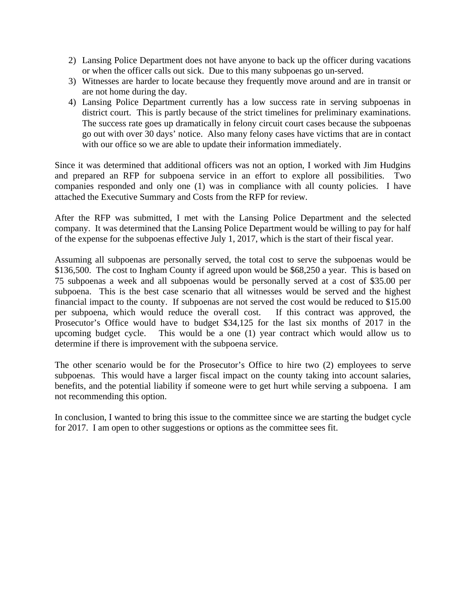- 2) Lansing Police Department does not have anyone to back up the officer during vacations or when the officer calls out sick. Due to this many subpoenas go un-served.
- 3) Witnesses are harder to locate because they frequently move around and are in transit or are not home during the day.
- 4) Lansing Police Department currently has a low success rate in serving subpoenas in district court. This is partly because of the strict timelines for preliminary examinations. The success rate goes up dramatically in felony circuit court cases because the subpoenas go out with over 30 days' notice. Also many felony cases have victims that are in contact with our office so we are able to update their information immediately.

Since it was determined that additional officers was not an option, I worked with Jim Hudgins and prepared an RFP for subpoena service in an effort to explore all possibilities. Two companies responded and only one (1) was in compliance with all county policies. I have attached the Executive Summary and Costs from the RFP for review.

After the RFP was submitted, I met with the Lansing Police Department and the selected company. It was determined that the Lansing Police Department would be willing to pay for half of the expense for the subpoenas effective July 1, 2017, which is the start of their fiscal year.

Assuming all subpoenas are personally served, the total cost to serve the subpoenas would be \$136,500. The cost to Ingham County if agreed upon would be \$68,250 a year. This is based on 75 subpoenas a week and all subpoenas would be personally served at a cost of \$35.00 per subpoena. This is the best case scenario that all witnesses would be served and the highest financial impact to the county. If subpoenas are not served the cost would be reduced to \$15.00 per subpoena, which would reduce the overall cost. If this contract was approved, the Prosecutor's Office would have to budget \$34,125 for the last six months of 2017 in the upcoming budget cycle. This would be a one (1) year contract which would allow us to determine if there is improvement with the subpoena service.

The other scenario would be for the Prosecutor's Office to hire two (2) employees to serve subpoenas. This would have a larger fiscal impact on the county taking into account salaries, benefits, and the potential liability if someone were to get hurt while serving a subpoena. I am not recommending this option.

In conclusion, I wanted to bring this issue to the committee since we are starting the budget cycle for 2017. I am open to other suggestions or options as the committee sees fit.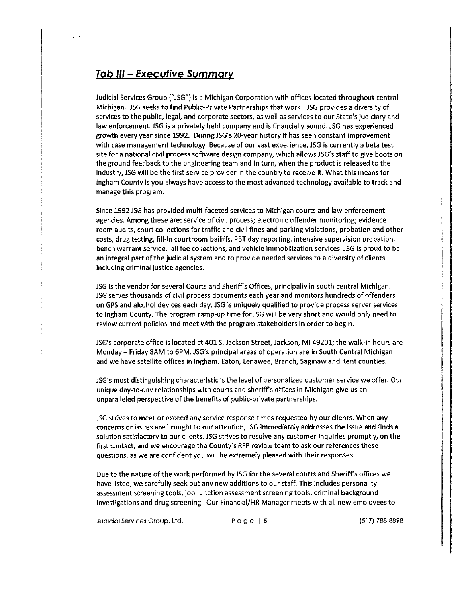# <u> Tab III – Executive Summary</u>

Judicial Services Group ("JSG") is a Michigan Corporation with offices located throughout central Michigan. JSG seeks to find Public-Private Partnerships that work! JSG provides a diversity of services to the public, legal, and corporate sectors, as well as services to our State's judiciary and law enforcement. JSG is a privately held company and is financially sound. JSG has experienced growth every year since 1992. During JSG's 20-year history it has seen constant improvement with case management technology. Because of our vast experience, JSG is currently a beta test site for a national civil process software design company, which allows JSG's staff to give boots on the ground feedback to the engineering team and in turn, when the product is released to the industry, JSG will be the first service provider in the country to receive it. What this means for ingham County is you always have access to the most advanced technology available to track and manage this program.

Since 1992 JSG has provided multi-faceted services to Michigan courts and law enforcement agencies. Among these are: service of civil process; electronic offender monitoring; evidence room audits, court collections for traffic and civil fines and parking violations, probation and other costs, drug testing, fill-in courtroom bailiffs, PBT day reporting, intensive supervision probation, bench warrant service, jail fee collections, and vehicle immobilization services. JSG is proud to be an integral part of the judicial system and to provide needed services to a diversity of clients including criminal justice agencies.

JSG is the vendor for several Courts and Sheriff's Offices, principally in south central Michigan. JSG serves thousands of civil process documents each year and monitors hundreds of offenders on GPS and alcohol devices each day. JSG is uniquely qualified to provide process server services to Ingham County. The program ramp-up time for JSG will be very short and would only need to review current policies and meet with the program stakeholders in order to begin.

JSG's corporate office is located at 401 S. Jackson Street, Jackson, MI 49201; the walk-in hours are Monday – Friday 8AM to 6PM. JSG's principal areas of operation are in South Central Michigan and we have satellite offices in Ingham, Eaton, Lenawee, Branch, Saginaw and Kent counties.

JSG's most distinguishing characteristic is the level of personalized customer service we offer. Our unique day-to-day relationships with courts and sheriff's offices in Michigan give us an unparalleled perspective of the benefits of public-private partnerships.

JSG strives to meet or exceed any service response times requested by our clients. When any concerns or issues are brought to our attention, JSG immediately addresses the issue and finds a solution satisfactory to our clients. JSG strives to resolve any customer inquiries promptly, on the first contact, and we encourage the County's RFP review team to ask our references these questions, as we are confident you will be extremely pleased with their responses.

Due to the nature of the work performed by JSG for the several courts and Sheriff's offices we have listed, we carefully seek out any new additions to our staff. This includes personality assessment screening tools, job function assessment screening tools, criminal background investigations and drug screening. Our Financial/HR Manager meets with all new employees to

Judicial Services Group, Ltd.

 $Page | 5$ 

(517) 788-8898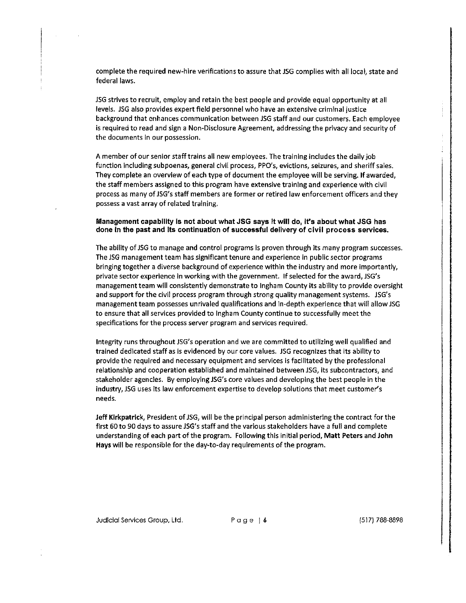complete the required new-hire verifications to assure that JSG complies with all local, state and federal laws.

JSG strives to recruit, employ and retain the best people and provide equal opportunity at all levels. JSG also provides expert field personnel who have an extensive criminal justice background that enhances communication between JSG staff and our customers. Each employee is required to read and sign a Non-Disclosure Agreement, addressing the privacy and security of the documents in our possession.

A member of our senior staff trains all new employees. The training includes the daily job function including subpoenas, general civil process, PPO's, evictions, seizures, and sheriff sales. They complete an overview of each type of document the employee will be serving. If awarded, the staff members assigned to this program have extensive training and experience with civil process as many of JSG's staff members are former or retired law enforcement officers and they possess a vast array of related training.

#### Management capability is not about what JSG says it will do, it's about what JSG has done in the past and its continuation of successful delivery of civil process services.

The ability of JSG to manage and control programs is proven through its many program successes. The JSG management team has significant tenure and experience in public sector programs bringing together a diverse background of experience within the industry and more importantly, private sector experience in working with the government. If selected for the award, JSG's management team will consistently demonstrate to Ingham County its ability to provide oversight and support for the civil process program through strong quality management systems. JSG's management team possesses unrivaled qualifications and in-depth experience that will allow JSG to ensure that all services provided to Ingham County continue to successfully meet the specifications for the process server program and services required.

Integrity runs throughout JSG's operation and we are committed to utilizing well qualified and trained dedicated staff as is evidenced by our core values. JSG recognizes that its ability to provide the required and necessary equipment and services is facilitated by the professional relationship and cooperation established and maintained between JSG, its subcontractors, and stakeholder agencies. By employing JSG's core values and developing the best people in the industry, JSG uses its law enforcement expertise to develop solutions that meet customer's needs.

Jeff Kirkpatrick, President of JSG, will be the principal person administering the contract for the first 60 to 90 days to assure JSG's staff and the various stakeholders have a full and complete understanding of each part of the program. Following this initial period, Matt Peters and John Hays will be responsible for the day-to-day requirements of the program.

Judicial Services Group, Ltd.

Page  $\vert$  6

(517) 788-8898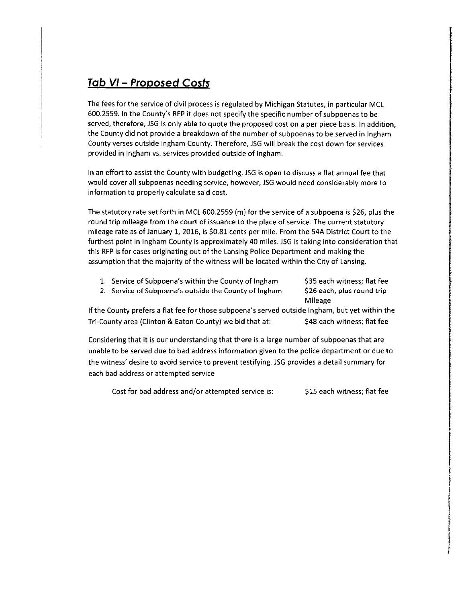# <u>**Tab VI – Proposed Costs**</u>

The fees for the service of civil process is regulated by Michigan Statutes, in particular MCL 600.2559. In the County's RFP it does not specify the specific number of subpoenas to be served, therefore, JSG is only able to quote the proposed cost on a per piece basis. In addition, the County did not provide a breakdown of the number of subpoenas to be served in Ingham County verses outside Ingham County. Therefore, JSG will break the cost down for services provided in Ingham vs. services provided outside of Ingham.

In an effort to assist the County with budgeting, JSG is open to discuss a flat annual fee that would cover all subpoenas needing service, however, JSG would need considerably more to information to properly calculate said cost.

The statutory rate set forth in MCL 600.2559 (m) for the service of a subpoena is \$26, plus the round trip mileage from the court of issuance to the place of service. The current statutory mileage rate as of January 1, 2016, is \$0.81 cents per mile. From the 54A District Court to the furthest point in Ingham County is approximately 40 miles. JSG is taking into consideration that this RFP is for cases originating out of the Lansing Police Department and making the assumption that the majority of the witness will be located within the City of Lansing.

- 1. Service of Subpoena's within the County of Ingham
- 2. Service of Subpoena's outside the County of Ingham

\$35 each witness; flat fee \$26 each, plus round trip **Mileage** 

If the County prefers a flat fee for those subpoena's served outside Ingham, but yet within the Tri-County area (Clinton & Eaton County) we bid that at: \$48 each witness; flat fee

Considering that it is our understanding that there is a large number of subpoenas that are unable to be served due to bad address information given to the police department or due to the witness' desire to avoid service to prevent testifying. JSG provides a detail summary for each bad address or attempted service

Cost for bad address and/or attempted service is: \$15 each witness; flat fee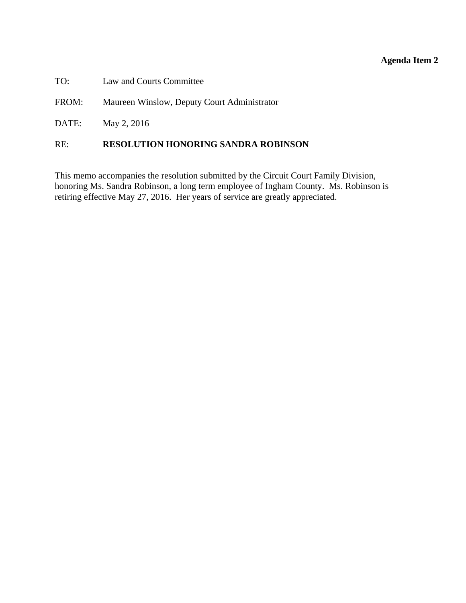# **Agenda Item 2**

<span id="page-12-0"></span>

| TO:<br>Law and Courts Committee |
|---------------------------------|
|---------------------------------|

FROM: Maureen Winslow, Deputy Court Administrator

DATE: May 2, 2016

#### RE: **RESOLUTION HONORING SANDRA ROBINSON**

This memo accompanies the resolution submitted by the Circuit Court Family Division, honoring Ms. Sandra Robinson, a long term employee of Ingham County. Ms. Robinson is retiring effective May 27, 2016. Her years of service are greatly appreciated.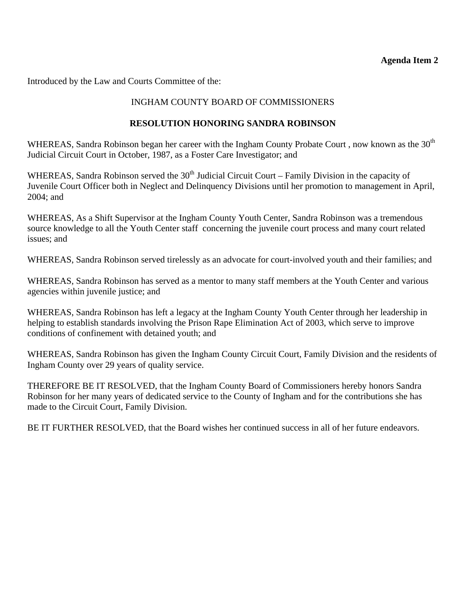### **Agenda Item 2**

Introduced by the Law and Courts Committee of the:

# INGHAM COUNTY BOARD OF COMMISSIONERS

### **RESOLUTION HONORING SANDRA ROBINSON**

WHEREAS, Sandra Robinson began her career with the Ingham County Probate Court, now known as the 30<sup>th</sup> Judicial Circuit Court in October, 1987, as a Foster Care Investigator; and

WHEREAS, Sandra Robinson served the  $30<sup>th</sup>$  Judicial Circuit Court – Family Division in the capacity of Juvenile Court Officer both in Neglect and Delinquency Divisions until her promotion to management in April, 2004; and

WHEREAS, As a Shift Supervisor at the Ingham County Youth Center, Sandra Robinson was a tremendous source knowledge to all the Youth Center staff concerning the juvenile court process and many court related issues; and

WHEREAS, Sandra Robinson served tirelessly as an advocate for court-involved youth and their families; and

WHEREAS, Sandra Robinson has served as a mentor to many staff members at the Youth Center and various agencies within juvenile justice; and

WHEREAS, Sandra Robinson has left a legacy at the Ingham County Youth Center through her leadership in helping to establish standards involving the Prison Rape Elimination Act of 2003, which serve to improve conditions of confinement with detained youth; and

WHEREAS, Sandra Robinson has given the Ingham County Circuit Court, Family Division and the residents of Ingham County over 29 years of quality service.

THEREFORE BE IT RESOLVED, that the Ingham County Board of Commissioners hereby honors Sandra Robinson for her many years of dedicated service to the County of Ingham and for the contributions she has made to the Circuit Court, Family Division.

BE IT FURTHER RESOLVED, that the Board wishes her continued success in all of her future endeavors.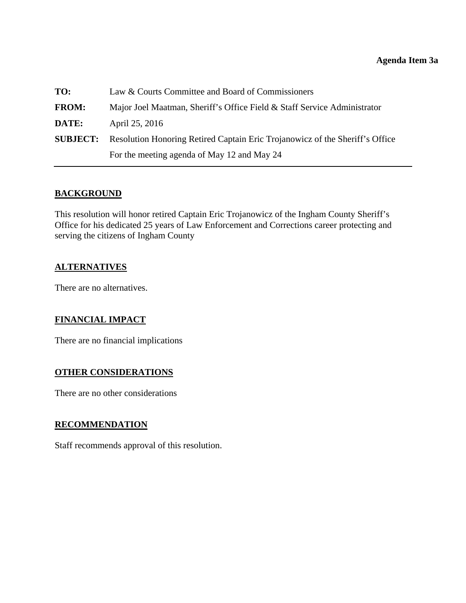#### **Agenda Item 3a**

<span id="page-14-0"></span>

| TO:             | Law & Courts Committee and Board of Commissioners                            |  |
|-----------------|------------------------------------------------------------------------------|--|
| <b>FROM:</b>    | Major Joel Maatman, Sheriff's Office Field & Staff Service Administrator     |  |
| DATE:           | April 25, 2016                                                               |  |
| <b>SUBJECT:</b> | Resolution Honoring Retired Captain Eric Trojanowicz of the Sheriff's Office |  |
|                 | For the meeting agenda of May 12 and May 24                                  |  |

# **BACKGROUND**

This resolution will honor retired Captain Eric Trojanowicz of the Ingham County Sheriff's Office for his dedicated 25 years of Law Enforcement and Corrections career protecting and serving the citizens of Ingham County

#### **ALTERNATIVES**

There are no alternatives.

# **FINANCIAL IMPACT**

There are no financial implications

#### **OTHER CONSIDERATIONS**

There are no other considerations

#### **RECOMMENDATION**

Staff recommends approval of this resolution.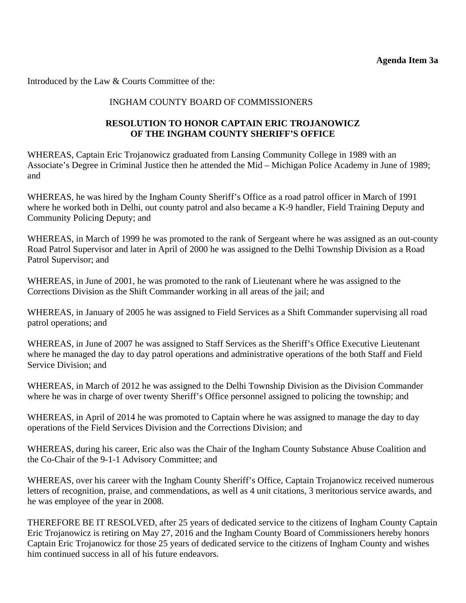Introduced by the Law & Courts Committee of the:

# INGHAM COUNTY BOARD OF COMMISSIONERS

# **RESOLUTION TO HONOR CAPTAIN ERIC TROJANOWICZ OF THE INGHAM COUNTY SHERIFF'S OFFICE**

WHEREAS, Captain Eric Trojanowicz graduated from Lansing Community College in 1989 with an Associate's Degree in Criminal Justice then he attended the Mid – Michigan Police Academy in June of 1989; and

WHEREAS, he was hired by the Ingham County Sheriff's Office as a road patrol officer in March of 1991 where he worked both in Delhi, out county patrol and also became a K-9 handler, Field Training Deputy and Community Policing Deputy; and

WHEREAS, in March of 1999 he was promoted to the rank of Sergeant where he was assigned as an out-county Road Patrol Supervisor and later in April of 2000 he was assigned to the Delhi Township Division as a Road Patrol Supervisor; and

WHEREAS, in June of 2001, he was promoted to the rank of Lieutenant where he was assigned to the Corrections Division as the Shift Commander working in all areas of the jail; and

WHEREAS, in January of 2005 he was assigned to Field Services as a Shift Commander supervising all road patrol operations; and

WHEREAS, in June of 2007 he was assigned to Staff Services as the Sheriff's Office Executive Lieutenant where he managed the day to day patrol operations and administrative operations of the both Staff and Field Service Division; and

WHEREAS, in March of 2012 he was assigned to the Delhi Township Division as the Division Commander where he was in charge of over twenty Sheriff's Office personnel assigned to policing the township; and

WHEREAS, in April of 2014 he was promoted to Captain where he was assigned to manage the day to day operations of the Field Services Division and the Corrections Division; and

WHEREAS, during his career, Eric also was the Chair of the Ingham County Substance Abuse Coalition and the Co-Chair of the 9-1-1 Advisory Committee; and

WHEREAS, over his career with the Ingham County Sheriff's Office, Captain Trojanowicz received numerous letters of recognition, praise, and commendations, as well as 4 unit citations, 3 meritorious service awards, and he was employee of the year in 2008.

THEREFORE BE IT RESOLVED, after 25 years of dedicated service to the citizens of Ingham County Captain Eric Trojanowicz is retiring on May 27, 2016 and the Ingham County Board of Commissioners hereby honors Captain Eric Trojanowicz for those 25 years of dedicated service to the citizens of Ingham County and wishes him continued success in all of his future endeavors.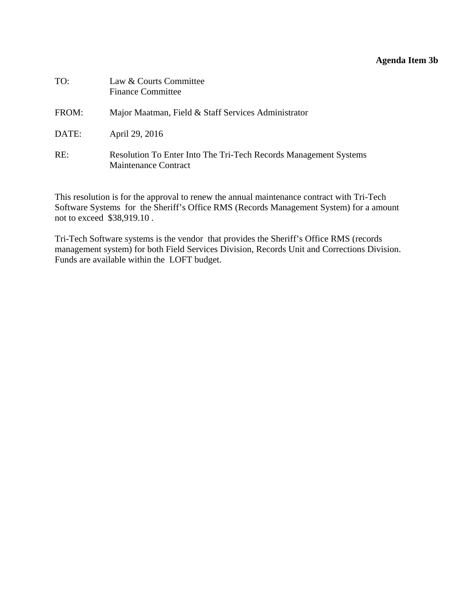# **Agenda Item 3b**

<span id="page-16-0"></span>

| TO:   | Law & Courts Committee<br><b>Finance Committee</b>                                              |
|-------|-------------------------------------------------------------------------------------------------|
| FROM: | Major Maatman, Field & Staff Services Administrator                                             |
| DATE: | April 29, 2016                                                                                  |
| RE:   | Resolution To Enter Into The Tri-Tech Records Management Systems<br><b>Maintenance Contract</b> |

This resolution is for the approval to renew the annual maintenance contract with Tri-Tech Software Systems for the Sheriff's Office RMS (Records Management System) for a amount not to exceed \$38,919.10 .

Tri-Tech Software systems is the vendor that provides the Sheriff's Office RMS (records management system) for both Field Services Division, Records Unit and Corrections Division. Funds are available within the LOFT budget.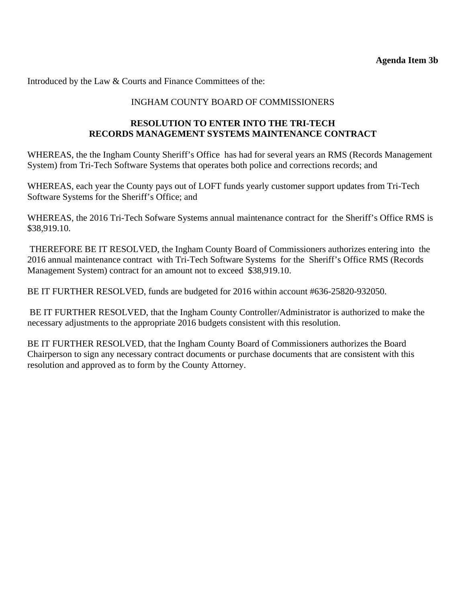Introduced by the Law & Courts and Finance Committees of the:

### INGHAM COUNTY BOARD OF COMMISSIONERS

# **RESOLUTION TO ENTER INTO THE TRI-TECH RECORDS MANAGEMENT SYSTEMS MAINTENANCE CONTRACT**

WHEREAS, the the Ingham County Sheriff's Office has had for several years an RMS (Records Management System) from Tri-Tech Software Systems that operates both police and corrections records; and

WHEREAS, each year the County pays out of LOFT funds yearly customer support updates from Tri-Tech Software Systems for the Sheriff's Office; and

WHEREAS, the 2016 Tri-Tech Sofware Systems annual maintenance contract for the Sheriff's Office RMS is \$38,919.10.

 THEREFORE BE IT RESOLVED, the Ingham County Board of Commissioners authorizes entering into the 2016 annual maintenance contract with Tri-Tech Software Systems for the Sheriff's Office RMS (Records Management System) contract for an amount not to exceed \$38,919.10.

BE IT FURTHER RESOLVED, funds are budgeted for 2016 within account #636-25820-932050.

 BE IT FURTHER RESOLVED, that the Ingham County Controller/Administrator is authorized to make the necessary adjustments to the appropriate 2016 budgets consistent with this resolution.

BE IT FURTHER RESOLVED, that the Ingham County Board of Commissioners authorizes the Board Chairperson to sign any necessary contract documents or purchase documents that are consistent with this resolution and approved as to form by the County Attorney.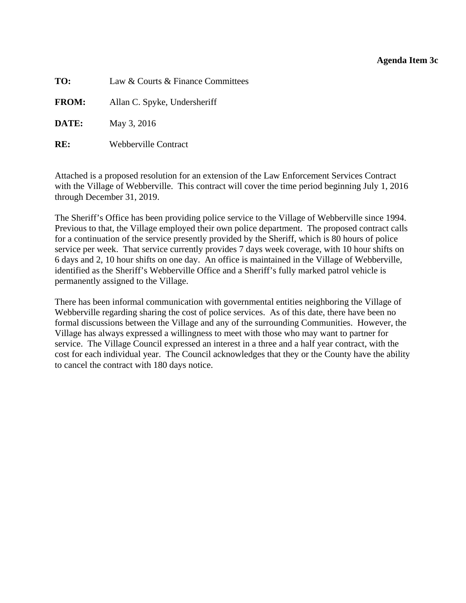#### **Agenda Item 3c**

<span id="page-18-0"></span>**TO:** Law & Courts & Finance Committees

**FROM:** Allan C. Spyke, Undersheriff

**DATE:** May 3, 2016

**RE:** Webberville Contract

Attached is a proposed resolution for an extension of the Law Enforcement Services Contract with the Village of Webberville. This contract will cover the time period beginning July 1, 2016 through December 31, 2019.

The Sheriff's Office has been providing police service to the Village of Webberville since 1994. Previous to that, the Village employed their own police department. The proposed contract calls for a continuation of the service presently provided by the Sheriff, which is 80 hours of police service per week. That service currently provides 7 days week coverage, with 10 hour shifts on 6 days and 2, 10 hour shifts on one day. An office is maintained in the Village of Webberville, identified as the Sheriff's Webberville Office and a Sheriff's fully marked patrol vehicle is permanently assigned to the Village.

There has been informal communication with governmental entities neighboring the Village of Webberville regarding sharing the cost of police services. As of this date, there have been no formal discussions between the Village and any of the surrounding Communities. However, the Village has always expressed a willingness to meet with those who may want to partner for service. The Village Council expressed an interest in a three and a half year contract, with the cost for each individual year. The Council acknowledges that they or the County have the ability to cancel the contract with 180 days notice.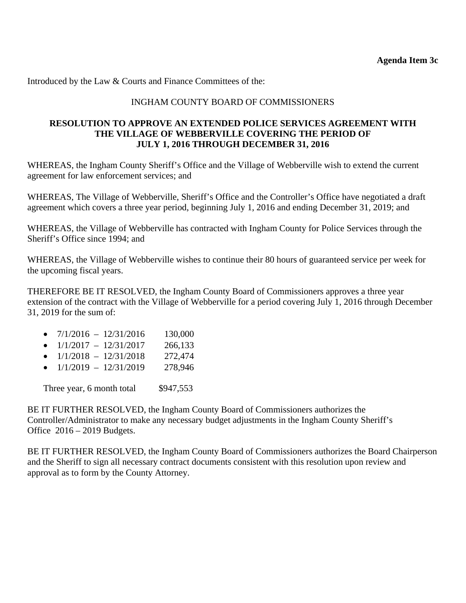Introduced by the Law & Courts and Finance Committees of the:

### INGHAM COUNTY BOARD OF COMMISSIONERS

#### **RESOLUTION TO APPROVE AN EXTENDED POLICE SERVICES AGREEMENT WITH THE VILLAGE OF WEBBERVILLE COVERING THE PERIOD OF JULY 1, 2016 THROUGH DECEMBER 31, 2016**

WHEREAS, the Ingham County Sheriff's Office and the Village of Webberville wish to extend the current agreement for law enforcement services; and

WHEREAS, The Village of Webberville, Sheriff's Office and the Controller's Office have negotiated a draft agreement which covers a three year period, beginning July 1, 2016 and ending December 31, 2019; and

WHEREAS, the Village of Webberville has contracted with Ingham County for Police Services through the Sheriff's Office since 1994; and

WHEREAS, the Village of Webberville wishes to continue their 80 hours of guaranteed service per week for the upcoming fiscal years.

THEREFORE BE IT RESOLVED, the Ingham County Board of Commissioners approves a three year extension of the contract with the Village of Webberville for a period covering July 1, 2016 through December 31, 2019 for the sum of:

|           | $7/1/2016 - 12/31/2016$   | 130,000   |
|-----------|---------------------------|-----------|
|           | $1/1/2017 - 12/31/2017$   | 266,133   |
| $\bullet$ | $1/1/2018 - 12/31/2018$   | 272,474   |
|           | $1/1/2019 - 12/31/2019$   | 278,946   |
|           | Three year, 6 month total | \$947,553 |
|           |                           |           |

BE IT FURTHER RESOLVED, the Ingham County Board of Commissioners authorizes the Controller/Administrator to make any necessary budget adjustments in the Ingham County Sheriff's Office 2016 – 2019 Budgets.

BE IT FURTHER RESOLVED, the Ingham County Board of Commissioners authorizes the Board Chairperson and the Sheriff to sign all necessary contract documents consistent with this resolution upon review and approval as to form by the County Attorney.